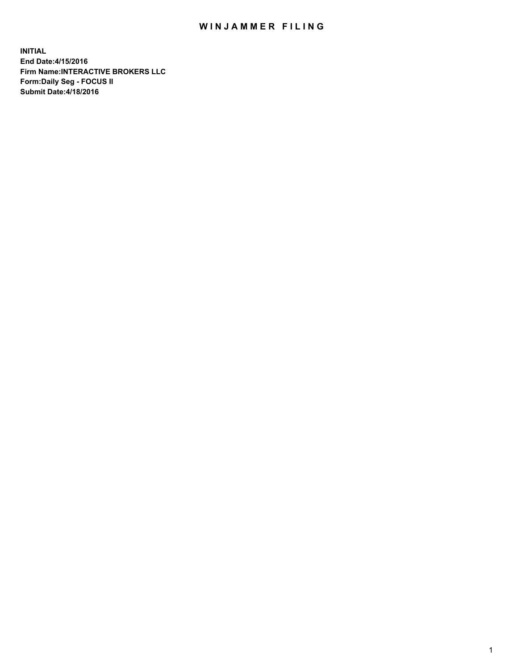## WIN JAMMER FILING

**INITIAL End Date:4/15/2016 Firm Name:INTERACTIVE BROKERS LLC Form:Daily Seg - FOCUS II Submit Date:4/18/2016**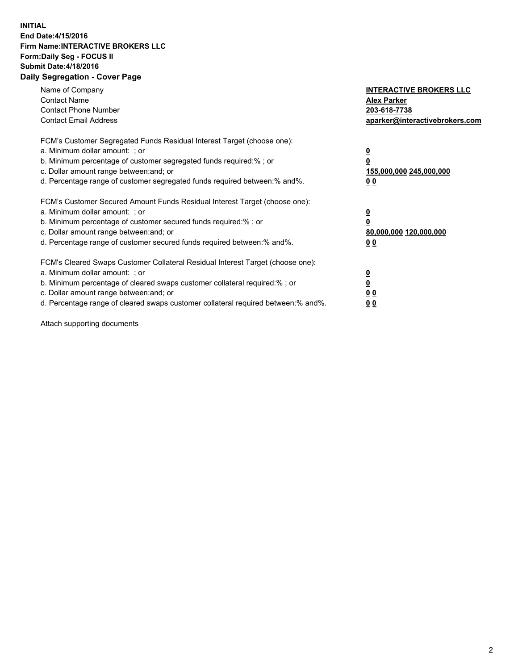## **INITIAL End Date:4/15/2016 Firm Name:INTERACTIVE BROKERS LLC Form:Daily Seg - FOCUS II Submit Date:4/18/2016 Daily Segregation - Cover Page**

| Name of Company<br><b>Contact Name</b><br><b>Contact Phone Number</b><br><b>Contact Email Address</b>                                                                                                                                                                                                                         | <b>INTERACTIVE BROKERS LLC</b><br><b>Alex Parker</b><br>203-618-7738<br>aparker@interactivebrokers.com |
|-------------------------------------------------------------------------------------------------------------------------------------------------------------------------------------------------------------------------------------------------------------------------------------------------------------------------------|--------------------------------------------------------------------------------------------------------|
| FCM's Customer Segregated Funds Residual Interest Target (choose one):<br>a. Minimum dollar amount: ; or<br>b. Minimum percentage of customer segregated funds required:% ; or<br>c. Dollar amount range between: and; or<br>d. Percentage range of customer segregated funds required between:% and%.                        | <u>0</u><br>155,000,000 245,000,000<br>0 <sub>0</sub>                                                  |
| FCM's Customer Secured Amount Funds Residual Interest Target (choose one):<br>a. Minimum dollar amount: ; or<br>b. Minimum percentage of customer secured funds required:%; or<br>c. Dollar amount range between: and; or<br>d. Percentage range of customer secured funds required between: % and %.                         | <u>0</u><br>80,000,000 120,000,000<br><u>00</u>                                                        |
| FCM's Cleared Swaps Customer Collateral Residual Interest Target (choose one):<br>a. Minimum dollar amount: ; or<br>b. Minimum percentage of cleared swaps customer collateral required:%; or<br>c. Dollar amount range between: and; or<br>d. Percentage range of cleared swaps customer collateral required between:% and%. | <u>0</u><br>0 <sub>0</sub><br>0 <sub>0</sub>                                                           |

Attach supporting documents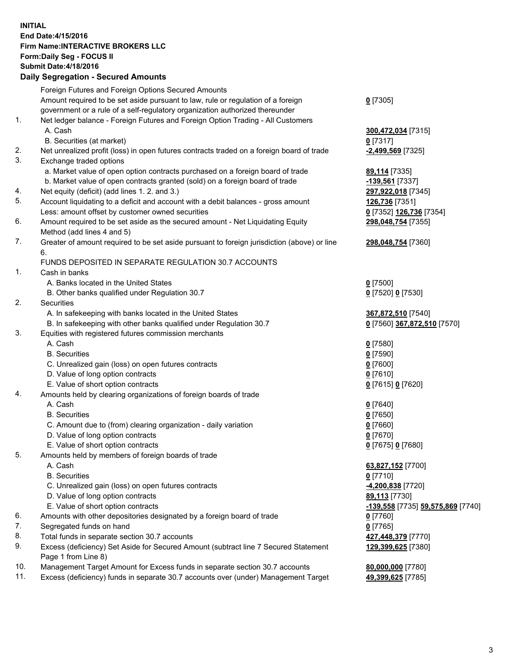## **INITIAL End Date:4/15/2016 Firm Name:INTERACTIVE BROKERS LLC Form:Daily Seg - FOCUS II Submit Date:4/18/2016 Daily Segregation - Secured Amounts**

|     | Foreign Futures and Foreign Options Secured Amounts                                         |                                          |
|-----|---------------------------------------------------------------------------------------------|------------------------------------------|
|     | Amount required to be set aside pursuant to law, rule or regulation of a foreign            | $0$ [7305]                               |
|     | government or a rule of a self-regulatory organization authorized thereunder                |                                          |
| 1.  | Net ledger balance - Foreign Futures and Foreign Option Trading - All Customers             |                                          |
|     | A. Cash                                                                                     | 300,472,034 [7315]                       |
|     | B. Securities (at market)                                                                   | $0$ [7317]                               |
| 2.  | Net unrealized profit (loss) in open futures contracts traded on a foreign board of trade   | -2,499,569 [7325]                        |
| 3.  | Exchange traded options                                                                     |                                          |
|     | a. Market value of open option contracts purchased on a foreign board of trade              | 89,114 [7335]                            |
|     | b. Market value of open contracts granted (sold) on a foreign board of trade                | <u>-139,561</u> [7337]                   |
| 4.  | Net equity (deficit) (add lines 1.2. and 3.)                                                | 297,922,018 [7345]                       |
| 5.  | Account liquidating to a deficit and account with a debit balances - gross amount           | 126,736 [7351]                           |
|     | Less: amount offset by customer owned securities                                            | 0 [7352] 126,736 [7354]                  |
| 6.  | Amount required to be set aside as the secured amount - Net Liquidating Equity              | 298,048,754 [7355]                       |
|     | Method (add lines 4 and 5)                                                                  |                                          |
| 7.  | Greater of amount required to be set aside pursuant to foreign jurisdiction (above) or line | 298,048,754 [7360]                       |
|     | 6.                                                                                          |                                          |
|     | FUNDS DEPOSITED IN SEPARATE REGULATION 30.7 ACCOUNTS                                        |                                          |
| 1.  | Cash in banks                                                                               |                                          |
|     | A. Banks located in the United States                                                       | $0$ [7500]                               |
|     | B. Other banks qualified under Regulation 30.7                                              | 0 [7520] 0 [7530]                        |
| 2.  | Securities                                                                                  |                                          |
|     |                                                                                             |                                          |
|     | A. In safekeeping with banks located in the United States                                   | 367,872,510 [7540]                       |
| 3.  | B. In safekeeping with other banks qualified under Regulation 30.7                          | 0 [7560] 367,872,510 [7570]              |
|     | Equities with registered futures commission merchants                                       |                                          |
|     | A. Cash                                                                                     | $0$ [7580]                               |
|     | <b>B.</b> Securities                                                                        | $0$ [7590]                               |
|     | C. Unrealized gain (loss) on open futures contracts                                         | $0$ [7600]                               |
|     | D. Value of long option contracts                                                           | $0$ [7610]                               |
|     | E. Value of short option contracts                                                          | 0 [7615] 0 [7620]                        |
| 4.  | Amounts held by clearing organizations of foreign boards of trade                           |                                          |
|     | A. Cash                                                                                     | $0$ [7640]                               |
|     | <b>B.</b> Securities                                                                        | $0$ [7650]                               |
|     | C. Amount due to (from) clearing organization - daily variation                             | $0$ [7660]                               |
|     | D. Value of long option contracts                                                           | $0$ [7670]                               |
|     | E. Value of short option contracts                                                          | 0 [7675] 0 [7680]                        |
| 5.  | Amounts held by members of foreign boards of trade                                          |                                          |
|     | A. Cash                                                                                     | 63,827,152 [7700]                        |
|     | <b>B.</b> Securities                                                                        | $0$ [7710]                               |
|     | C. Unrealized gain (loss) on open futures contracts                                         | -4,200,838 [7720]                        |
|     | D. Value of long option contracts                                                           | 89,113 [7730]                            |
|     | E. Value of short option contracts                                                          | <u>-139,558</u> [7735] 59,575,869 [7740] |
| 6.  | Amounts with other depositories designated by a foreign board of trade                      | $0$ [7760]                               |
| 7.  | Segregated funds on hand                                                                    | $0$ [7765]                               |
| 8.  | Total funds in separate section 30.7 accounts                                               | 427,448,379 [7770]                       |
| 9.  | Excess (deficiency) Set Aside for Secured Amount (subtract line 7 Secured Statement         | 129,399,625 [7380]                       |
|     | Page 1 from Line 8)                                                                         |                                          |
| 10. | Management Target Amount for Excess funds in separate section 30.7 accounts                 | 80,000,000 [7780]                        |
| 11. | Excess (deficiency) funds in separate 30.7 accounts over (under) Management Target          | 49,399,625 [7785]                        |
|     |                                                                                             |                                          |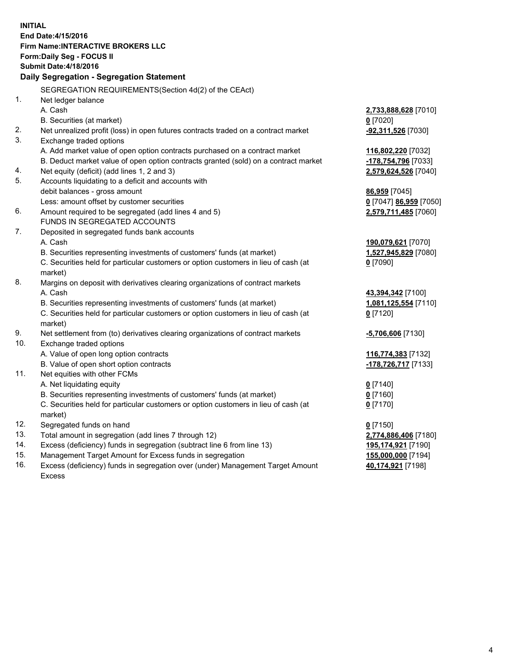**INITIAL End Date:4/15/2016 Firm Name:INTERACTIVE BROKERS LLC Form:Daily Seg - FOCUS II Submit Date:4/18/2016 Daily Segregation - Segregation Statement** SEGREGATION REQUIREMENTS(Section 4d(2) of the CEAct) 1. Net ledger balance A. Cash **2,733,888,628** [7010] B. Securities (at market) **0** [7020] 2. Net unrealized profit (loss) in open futures contracts traded on a contract market **-92,311,526** [7030] 3. Exchange traded options A. Add market value of open option contracts purchased on a contract market **116,802,220** [7032] B. Deduct market value of open option contracts granted (sold) on a contract market **-178,754,796** [7033] 4. Net equity (deficit) (add lines 1, 2 and 3) **2,579,624,526** [7040] 5. Accounts liquidating to a deficit and accounts with debit balances - gross amount **86,959** [7045] Less: amount offset by customer securities **0** [7047] **86,959** [7050] 6. Amount required to be segregated (add lines 4 and 5) **2,579,711,485** [7060] FUNDS IN SEGREGATED ACCOUNTS 7. Deposited in segregated funds bank accounts A. Cash **190,079,621** [7070] B. Securities representing investments of customers' funds (at market) **1,527,945,829** [7080] C. Securities held for particular customers or option customers in lieu of cash (at market) **0** [7090] 8. Margins on deposit with derivatives clearing organizations of contract markets A. Cash **43,394,342** [7100] B. Securities representing investments of customers' funds (at market) **1,081,125,554** [7110] C. Securities held for particular customers or option customers in lieu of cash (at market) **0** [7120] 9. Net settlement from (to) derivatives clearing organizations of contract markets **-5,706,606** [7130] 10. Exchange traded options A. Value of open long option contracts **116,774,383** [7132] B. Value of open short option contracts **-178,726,717** [7133] 11. Net equities with other FCMs A. Net liquidating equity **0** [7140] B. Securities representing investments of customers' funds (at market) **0** [7160] C. Securities held for particular customers or option customers in lieu of cash (at market) **0** [7170] 12. Segregated funds on hand **0** [7150] 13. Total amount in segregation (add lines 7 through 12) **2,774,886,406** [7180] 14. Excess (deficiency) funds in segregation (subtract line 6 from line 13) **195,174,921** [7190] 15. Management Target Amount for Excess funds in segregation **155,000,000** [7194] **40,174,921** [7198]

16. Excess (deficiency) funds in segregation over (under) Management Target Amount Excess